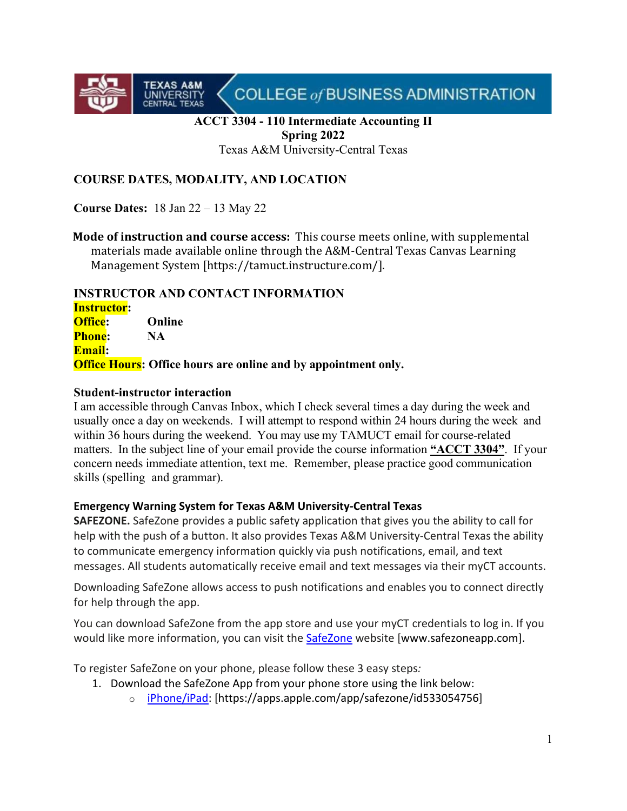

#### **ACCT 3304 - 110 Intermediate Accounting II Spring 2022**

Texas A&M University-Central Texas

## **COURSE DATES, MODALITY, AND LOCATION**

**Course Dates:** 18 Jan 22 – 13 May 22

**TEXAS A&M**<br>UNIVERSITY<br>CENTRAL TEXAS

**Mode of instruction and course access:** This course meets online, with supplemental materials made available online through the A&M-Central Texas Canvas Learning Management System [https://tamuct.instructure.com/].

#### **INSTRUCTOR AND CONTACT INFORMATION**

**Instructor: Office: Online Phone: NA Email: Office Hours: Office hours are online and by appointment only.**

#### **Student-instructor interaction**

I am accessible through Canvas Inbox, which I check several times a day during the week and usually once a day on weekends. I will attempt to respond within 24 hours during the week and within 36 hours during the weekend. You may use my TAMUCT email for course-related matters. In the subject line of your email provide the course information **"ACCT 3304"**. If your concern needs immediate attention, text me. Remember, please practice good communication skills (spelling and grammar).

#### **Emergency Warning System for Texas A&M University-Central Texas**

**SAFEZONE.** SafeZone provides a public safety application that gives you the ability to call for help with the push of a button. It also provides Texas A&M University-Central Texas the ability to communicate emergency information quickly via push notifications, email, and text messages. All students automatically receive email and text messages via their myCT accounts.

Downloading SafeZone allows access to push notifications and enables you to connect directly for help through the app.

You can download SafeZone from the app store and use your myCT credentials to log in. If you would like more information, you can visit the [SafeZone](http://www.safezoneapp.com/) website [www.safezoneapp.com].

To register SafeZone on your phone, please follow these 3 easy steps*:* 

- 1. Download the SafeZone App from your phone store using the link below:
	- o [iPhone/iPad:](https://apps.apple.com/app/safezone/id533054756) [https://apps.apple.com/app/safezone/id533054756]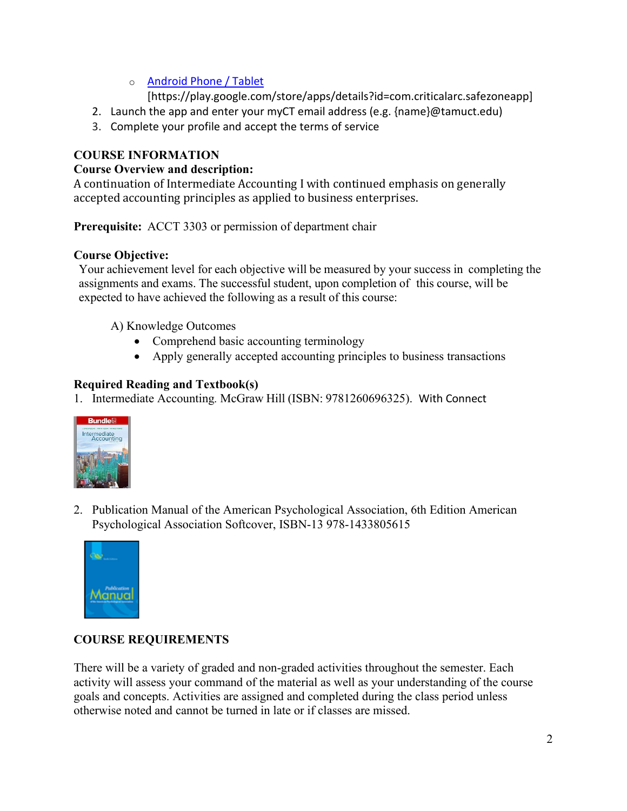# o [Android Phone / Tablet](https://play.google.com/store/apps/details?id=com.criticalarc.safezoneapp)

[https://play.google.com/store/apps/details?id=com.criticalarc.safezoneapp]

- 2. Launch the app and enter your myCT email address (e.g. {name}@tamuct.edu)
- 3. Complete your profile and accept the terms of service

# **COURSE INFORMATION**

### **Course Overview and description:**

A continuation of Intermediate Accounting I with continued emphasis on generally accepted accounting principles as applied to business enterprises.

**Prerequisite:** ACCT 3303 or permission of department chair

### **Course Objective:**

Your achievement level for each objective will be measured by your success in completing the assignments and exams. The successful student, upon completion of this course, will be expected to have achieved the following as a result of this course:

A) Knowledge Outcomes

- Comprehend basic accounting terminology
- Apply generally accepted accounting principles to business transactions

# **Required Reading and Textbook(s)**

1. Intermediate Accounting*.* McGraw Hill (ISBN: 9781260696325). With Connect



2. Publication Manual of the American Psychological Association, 6th Edition American Psychological Association Softcover, ISBN-13 978-1433805615



# **COURSE REQUIREMENTS**

There will be a variety of graded and non-graded activities throughout the semester. Each activity will assess your command of the material as well as your understanding of the course goals and concepts. Activities are assigned and completed during the class period unless otherwise noted and cannot be turned in late or if classes are missed.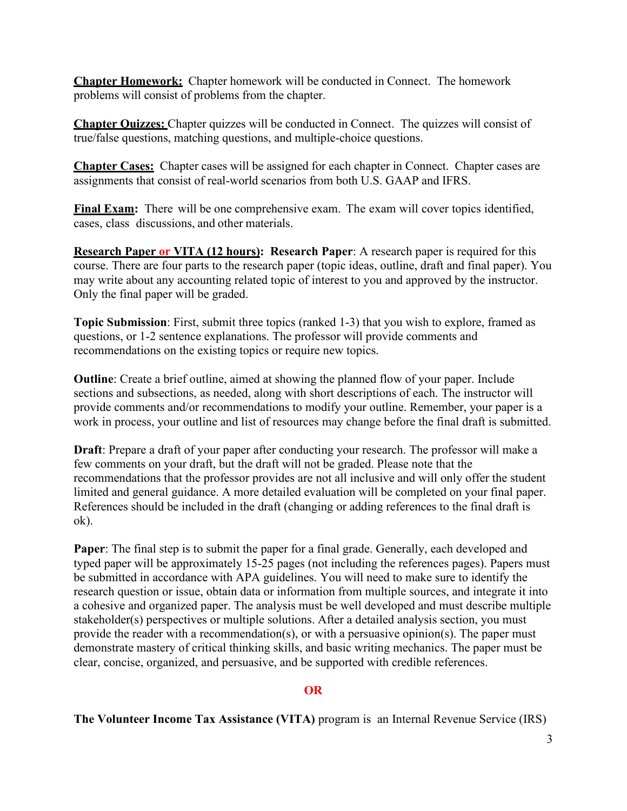**Chapter Homework:** Chapter homework will be conducted in Connect. The homework problems will consist of problems from the chapter.

**Chapter Quizzes:** Chapter quizzes will be conducted in Connect. The quizzes will consist of true/false questions, matching questions, and multiple-choice questions.

**Chapter Cases:** Chapter cases will be assigned for each chapter in Connect. Chapter cases are assignments that consist of real-world scenarios from both U.S. GAAP and IFRS.

**Final Exam:** There will be one comprehensive exam. The exam will cover topics identified, cases, class discussions, and other materials.

**Research Paper or VITA (12 hours): Research Paper**: A research paper is required for this course. There are four parts to the research paper (topic ideas, outline, draft and final paper). You may write about any accounting related topic of interest to you and approved by the instructor. Only the final paper will be graded.

**Topic Submission**: First, submit three topics (ranked 1-3) that you wish to explore, framed as questions, or 1-2 sentence explanations. The professor will provide comments and recommendations on the existing topics or require new topics.

**Outline**: Create a brief outline, aimed at showing the planned flow of your paper. Include sections and subsections, as needed, along with short descriptions of each. The instructor will provide comments and/or recommendations to modify your outline. Remember, your paper is a work in process, your outline and list of resources may change before the final draft is submitted.

**Draft**: Prepare a draft of your paper after conducting your research. The professor will make a few comments on your draft, but the draft will not be graded. Please note that the recommendations that the professor provides are not all inclusive and will only offer the student limited and general guidance. A more detailed evaluation will be completed on your final paper. References should be included in the draft (changing or adding references to the final draft is ok).

**Paper**: The final step is to submit the paper for a final grade. Generally, each developed and typed paper will be approximately 15-25 pages (not including the references pages). Papers must be submitted in accordance with APA guidelines. You will need to make sure to identify the research question or issue, obtain data or information from multiple sources, and integrate it into a cohesive and organized paper. The analysis must be well developed and must describe multiple stakeholder(s) perspectives or multiple solutions. After a detailed analysis section, you must provide the reader with a recommendation(s), or with a persuasive opinion(s). The paper must demonstrate mastery of critical thinking skills, and basic writing mechanics. The paper must be clear, concise, organized, and persuasive, and be supported with credible references.

#### **OR**

**The Volunteer Income Tax Assistance (VITA)** program is an Internal Revenue Service (IRS)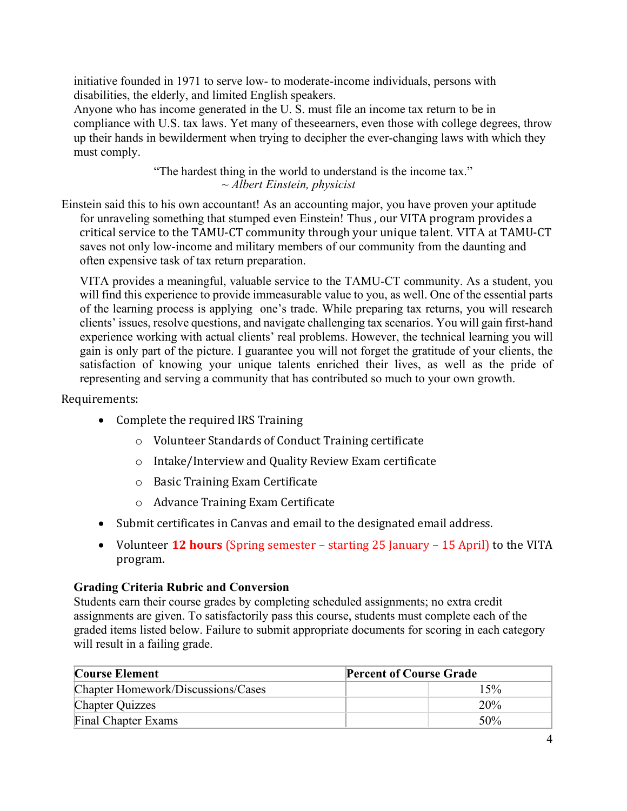initiative founded in 1971 to serve low- to moderate-income individuals, persons with disabilities, the elderly, and limited English speakers.

Anyone who has income generated in the U. S. must file an income tax return to be in compliance with U.S. tax laws. Yet many of theseearners, even those with college degrees, throw up their hands in bewilderment when trying to decipher the ever-changing laws with which they must comply.

> "The hardest thing in the world to understand is the income tax." *~ Albert Einstein, physicist*

Einstein said this to his own accountant! As an accounting major, you have proven your aptitude for unraveling something that stumped even Einstein! Thus , our VITA program provides a critical service to the TAMU-CT community through your unique talent. VITA at TAMU-CT saves not only low-income and military members of our community from the daunting and often expensive task of tax return preparation.

VITA provides a meaningful, valuable service to the TAMU-CT community. As a student, you will find this experience to provide immeasurable value to you, as well. One of the essential parts of the learning process is applying one's trade. While preparing tax returns, you will research clients' issues, resolve questions, and navigate challenging tax scenarios. You will gain first-hand experience working with actual clients' real problems. However, the technical learning you will gain is only part of the picture. I guarantee you will not forget the gratitude of your clients, the satisfaction of knowing your unique talents enriched their lives, as well as the pride of representing and serving a community that has contributed so much to your own growth.

### Requirements:

- Complete the required IRS Training
	- o Volunteer Standards of Conduct Training certificate
	- o Intake/Interview and Quality Review Exam certificate
	- o Basic Training Exam Certificate
	- o Advance Training Exam Certificate
- Submit certificates in Canvas and email to the designated email address.
- Volunteer **12 hours** (Spring semester starting 25 January 15 April) to the VITA program.

### **Grading Criteria Rubric and Conversion**

Students earn their course grades by completing scheduled assignments; no extra credit assignments are given. To satisfactorily pass this course, students must complete each of the graded items listed below. Failure to submit appropriate documents for scoring in each category will result in a failing grade.

| <b>Course Element</b>              | <b>Percent of Course Grade</b> |
|------------------------------------|--------------------------------|
| Chapter Homework/Discussions/Cases | 15%                            |
| <b>Chapter Quizzes</b>             | 20%                            |
| Final Chapter Exams                | 50%                            |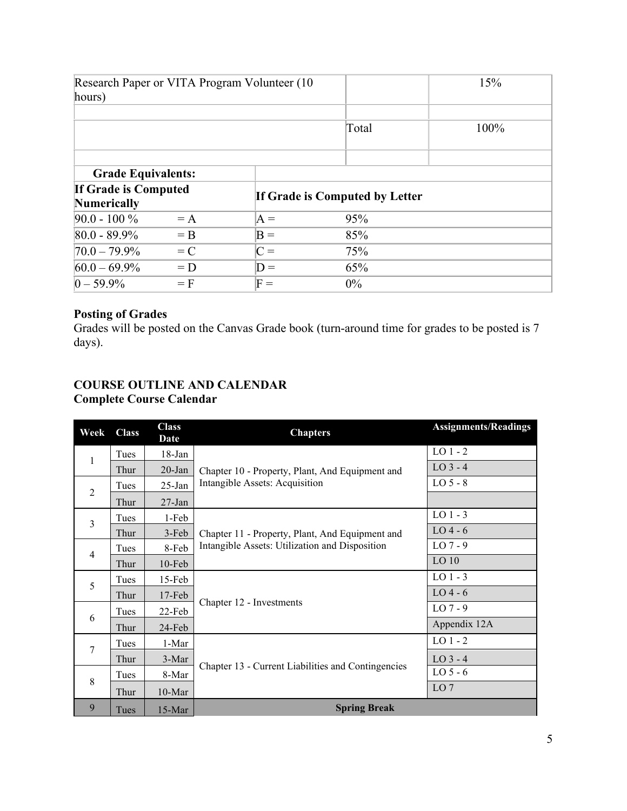| Research Paper or VITA Program Volunteer (10)<br>hours) |         |       |                                | 15%  |  |
|---------------------------------------------------------|---------|-------|--------------------------------|------|--|
|                                                         |         |       | Total                          | 100% |  |
| <b>Grade Equivalents:</b>                               |         |       |                                |      |  |
| If Grade is Computed<br><b>Numerically</b>              |         |       | If Grade is Computed by Letter |      |  |
| $90.0 - 100 \%$                                         | $=$ A   | $A =$ | 95%                            |      |  |
| $80.0 - 89.9\%$                                         | $=$ B   | $B =$ | 85%                            |      |  |
| $70.0 - 79.9\%$                                         | $= C$   | $C =$ | 75%                            |      |  |
| $60.0 - 69.9\%$                                         | $= D$   | $D =$ | 65%                            |      |  |
| $0 - 59.9\%$                                            | $=$ $F$ | $F =$ | $0\%$                          |      |  |

# **Posting of Grades**

Grades will be posted on the Canvas Grade book (turn-around time for grades to be posted is 7 days).

# **COURSE OUTLINE AND CALENDAR Complete Course Calendar**

| Week                | <b>Class</b> | <b>Class</b><br>Date | <b>Chapters</b>                                                                   | <b>Assignments/Readings</b> |
|---------------------|--------------|----------------------|-----------------------------------------------------------------------------------|-----------------------------|
| 1<br>$\overline{2}$ | Tues         | $18$ -Jan            | Chapter 10 - Property, Plant, And Equipment and<br>Intangible Assets: Acquisition | $LO$ 1 - 2                  |
|                     | Thur         | $20$ -Jan            |                                                                                   | $LO$ 3 - 4                  |
|                     | Tues         | $25$ -Jan            |                                                                                   | $LO5-8$                     |
|                     | Thur         | $27$ -Jan            |                                                                                   |                             |
| $\overline{3}$      | Tues         | 1-Feb                | Chapter 11 - Property, Plant, And Equipment and                                   | $LO$ 1 - 3                  |
|                     | Thur         | $3-Feb$              |                                                                                   | $LO$ 4 - 6                  |
| $\overline{4}$      | Tues         | 8-Feb                | Intangible Assets: Utilization and Disposition                                    | $LO7-9$                     |
|                     | Thur         | $10$ -Feb            |                                                                                   | LO <sub>10</sub>            |
| 5                   | Tues         | $15$ -Feb            | Chapter 12 - Investments                                                          | $LO$ 1 - 3                  |
|                     | Thur         | $17$ -Feb            |                                                                                   | $LO$ 4 - 6                  |
| 6                   | Tues         | $22$ -Feb            |                                                                                   | $LO7-9$                     |
|                     | Thur         | $24$ -Feb            |                                                                                   | Appendix 12A                |
| 7                   | Tues         | 1-Mar                | Chapter 13 - Current Liabilities and Contingencies                                | $LO$ 1 - 2                  |
|                     | Thur         | 3-Mar                |                                                                                   | $LO$ 3 - 4                  |
| 8                   | Tues         | 8-Mar                |                                                                                   | $LO5-6$                     |
|                     | Thur         | $10-Mar$             |                                                                                   | LO <sub>7</sub>             |
| 9                   | Tues         | $15-Mar$             | <b>Spring Break</b>                                                               |                             |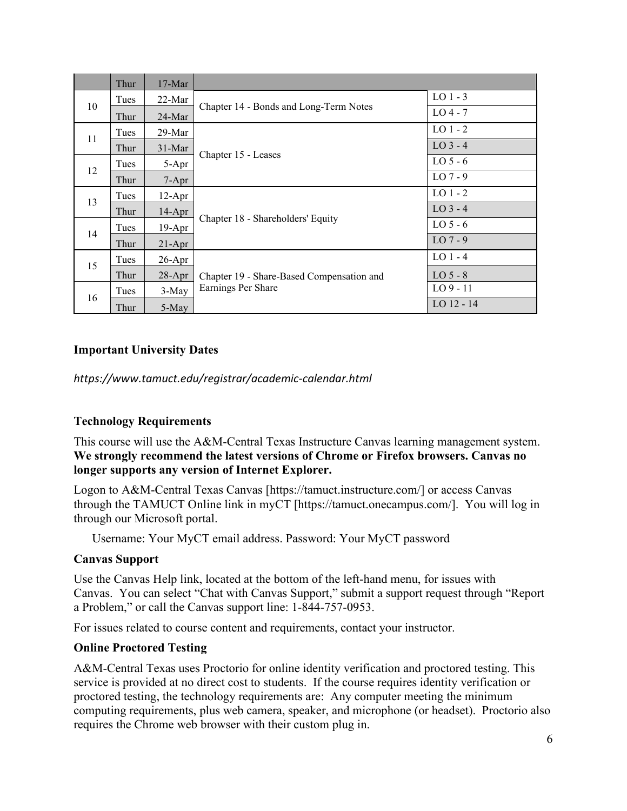|    | Thur | $17-Mar$  |                                                                 |              |
|----|------|-----------|-----------------------------------------------------------------|--------------|
| 10 | Tues | $22$ -Mar | Chapter 14 - Bonds and Long-Term Notes                          | $LO$ 1 - 3   |
|    | Thur | $24-Mar$  |                                                                 | $LO$ 4 - 7   |
| 11 | Tues | 29-Mar    | Chapter 15 - Leases                                             | $LO$ 1 - 2   |
|    | Thur | $31-Mar$  |                                                                 | $LO$ 3 - 4   |
| 12 | Tues | 5-Apr     |                                                                 | $LO5-6$      |
|    | Thur | $7-Apr$   |                                                                 | $LO7-9$      |
| 13 | Tues | $12-Apr$  | Chapter 18 - Shareholders' Equity                               | $LO$ 1 - 2   |
|    | Thur | $14-Apr$  |                                                                 | $LO$ 3 - 4   |
| 14 | Tues | $19-Apr$  |                                                                 | $LO5-6$      |
|    | Thur | $21-Apr$  |                                                                 | $LO7-9$      |
| 15 | Tues | $26$ -Apr | Chapter 19 - Share-Based Compensation and<br>Earnings Per Share | $LO$ 1 - 4   |
|    | Thur | $28$ -Apr |                                                                 | $LO5-8$      |
| 16 | Tues | $3-May$   |                                                                 | $LO9 - 11$   |
|    | Thur | 5-May     |                                                                 | $LO$ 12 - 14 |

### **Important University Dates**

*https://www.tamuct.edu/registrar/academic-calendar.html*

### **Technology Requirements**

This course will use the A&M-Central Texas Instructure Canvas learning management system. **We strongly recommend the latest versions of Chrome or Firefox browsers. Canvas no longer supports any version of Internet Explorer.**

Logon to A&M-Central Texas Canvas [https://tamuct.instructure.com/] or access Canvas through the TAMUCT Online link in myCT [https://tamuct.onecampus.com/]. You will log in through our Microsoft portal.

Username: Your MyCT email address. Password: Your MyCT password

### **Canvas Support**

Use the Canvas Help link, located at the bottom of the left-hand menu, for issues with Canvas. You can select "Chat with Canvas Support," submit a support request through "Report a Problem," or call the Canvas support line: 1-844-757-0953.

For issues related to course content and requirements, contact your instructor.

### **Online Proctored Testing**

A&M-Central Texas uses Proctorio for online identity verification and proctored testing. This service is provided at no direct cost to students. If the course requires identity verification or proctored testing, the technology requirements are: Any computer meeting the minimum computing requirements, plus web camera, speaker, and microphone (or headset). Proctorio also requires the Chrome web browser with their custom plug in.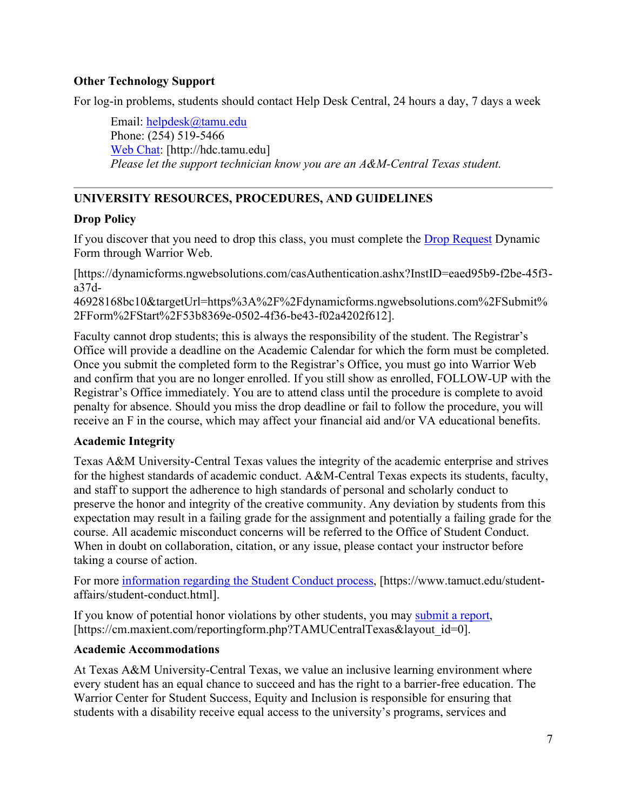### **Other Technology Support**

For log-in problems, students should contact Help Desk Central, 24 hours a day, 7 days a week

Email: [helpdesk@tamu.edu](mailto:helpdesk@tamu.edu) Phone: (254) 519-5466 [Web Chat:](http://hdc.tamu.edu/) [http://hdc.tamu.edu] *Please let the support technician know you are an A&M-Central Texas student.*

## **UNIVERSITY RESOURCES, PROCEDURES, AND GUIDELINES**

#### **Drop Policy**

If you discover that you need to drop this class, you must complete the [Drop Request](https://dynamicforms.ngwebsolutions.com/casAuthentication.ashx?InstID=eaed95b9-f2be-45f3-a37d-46928168bc10&targetUrl=https%3A%2F%2Fdynamicforms.ngwebsolutions.com%2FSubmit%2FForm%2FStart%2F53b8369e-0502-4f36-be43-f02a4202f612) Dynamic Form through Warrior Web.

[https://dynamicforms.ngwebsolutions.com/casAuthentication.ashx?InstID=eaed95b9-f2be-45f3 a37d-

46928168bc10&targetUrl=https%3A%2F%2Fdynamicforms.ngwebsolutions.com%2FSubmit% 2FForm%2FStart%2F53b8369e-0502-4f36-be43-f02a4202f612].

Faculty cannot drop students; this is always the responsibility of the student. The Registrar's Office will provide a deadline on the Academic Calendar for which the form must be completed. Once you submit the completed form to the Registrar's Office, you must go into Warrior Web and confirm that you are no longer enrolled. If you still show as enrolled, FOLLOW-UP with the Registrar's Office immediately. You are to attend class until the procedure is complete to avoid penalty for absence. Should you miss the drop deadline or fail to follow the procedure, you will receive an F in the course, which may affect your financial aid and/or VA educational benefits.

### **Academic Integrity**

Texas A&M University-Central Texas values the integrity of the academic enterprise and strives for the highest standards of academic conduct. A&M-Central Texas expects its students, faculty, and staff to support the adherence to high standards of personal and scholarly conduct to preserve the honor and integrity of the creative community. Any deviation by students from this expectation may result in a failing grade for the assignment and potentially a failing grade for the course. All academic misconduct concerns will be referred to the Office of Student Conduct. When in doubt on collaboration, citation, or any issue, please contact your instructor before taking a course of action.

For more [information](https://nam04.safelinks.protection.outlook.com/?url=https%3A%2F%2Fwww.tamuct.edu%2Fstudent-affairs%2Fstudent-conduct.html&data=04%7C01%7Clisa.bunkowski%40tamuct.edu%7Ccfb6e486f24745f53e1a08d910055cb2%7C9eed4e3000f744849ff193ad8005acec%7C0%7C0%7C637558437485252160%7CUnknown%7CTWFpbGZsb3d8eyJWIjoiMC4wLjAwMDAiLCJQIjoiV2luMzIiLCJBTiI6Ik1haWwiLCJXVCI6Mn0%3D%7C1000&sdata=yjftDEVHvLX%2FhM%2FcFU0B99krV1RgEWR%2BJ%2BhvtoR6TYk%3D&reserved=0) regarding the Student Conduct process, [https://www.tamuct.edu/studentaffairs/student-conduct.html].

If you know of potential honor violations by other students, you may [submit](https://nam04.safelinks.protection.outlook.com/?url=https%3A%2F%2Fcm.maxient.com%2Freportingform.php%3FTAMUCentralTexas%26layout_id%3D0&data=04%7C01%7Clisa.bunkowski%40tamuct.edu%7Ccfb6e486f24745f53e1a08d910055cb2%7C9eed4e3000f744849ff193ad8005acec%7C0%7C0%7C637558437485262157%7CUnknown%7CTWFpbGZsb3d8eyJWIjoiMC4wLjAwMDAiLCJQIjoiV2luMzIiLCJBTiI6Ik1haWwiLCJXVCI6Mn0%3D%7C1000&sdata=CXGkOa6uPDPX1IMZ87z3aZDq2n91xfHKu4MMS43Ejjk%3D&reserved=0) a report, [https://cm.maxient.com/reportingform.php?TAMUCentralTexas&layout\_id=0].

#### **Academic Accommodations**

At Texas A&M University-Central Texas, we value an inclusive learning environment where every student has an equal chance to succeed and has the right to a barrier-free education. The Warrior Center for Student Success, Equity and Inclusion is responsible for ensuring that students with a disability receive equal access to the university's programs, services and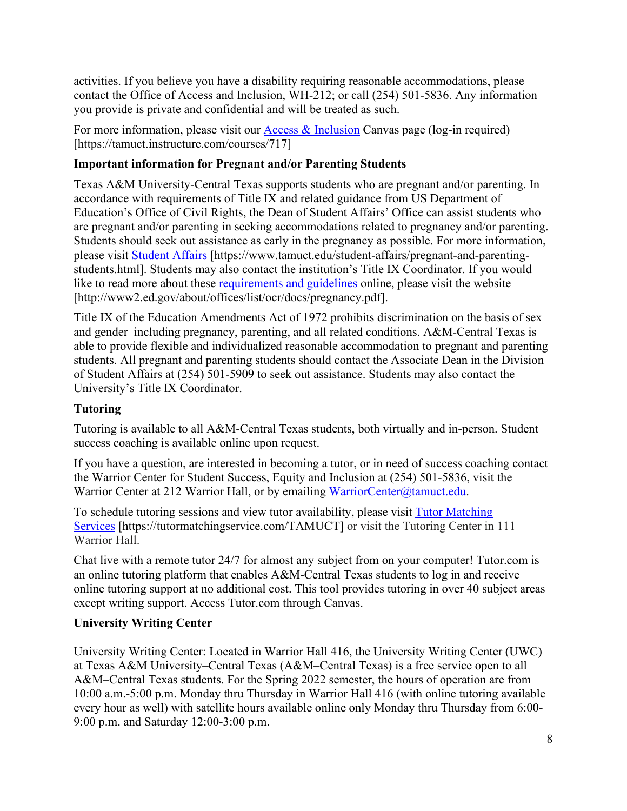activities. If you believe you have a disability requiring reasonable accommodations, please contact the Office of Access and Inclusion, WH-212; or call (254) 501-5836. Any information you provide is private and confidential and will be treated as such.

For more information, please visit our **Access & Inclusion** Canvas page (log-in required) [https://tamuct.instructure.com/courses/717]

### **Important information for Pregnant and/or Parenting Students**

Texas A&M University-Central Texas supports students who are pregnant and/or parenting. In accordance with requirements of Title IX and related guidance from US Department of Education's Office of Civil Rights, the Dean of Student Affairs' Office can assist students who are pregnant and/or parenting in seeking accommodations related to pregnancy and/or parenting. Students should seek out assistance as early in the pregnancy as possible. For more information, please visit [Student Affairs](https://www.tamuct.edu/student-affairs/pregnant-and-parenting-students.html) [https://www.tamuct.edu/student-affairs/pregnant-and-parentingstudents.html]. Students may also contact the institution's Title IX Coordinator. If you would like to read more about these [requirements and guidelines](http://www2.ed.gov/about/offices/list/ocr/docs/pregnancy.pdf) online, please visit the website [http://www2.ed.gov/about/offices/list/ocr/docs/pregnancy.pdf].

Title IX of the Education Amendments Act of 1972 prohibits discrimination on the basis of sex and gender–including pregnancy, parenting, and all related conditions. A&M-Central Texas is able to provide flexible and individualized reasonable accommodation to pregnant and parenting students. All pregnant and parenting students should contact the Associate Dean in the Division of Student Affairs at (254) 501-5909 to seek out assistance. Students may also contact the University's Title IX Coordinator.

# **Tutoring**

Tutoring is available to all A&M-Central Texas students, both virtually and in-person. Student success coaching is available online upon request.

If you have a question, are interested in becoming a tutor, or in need of success coaching contact the Warrior Center for Student Success, Equity and Inclusion at (254) 501-5836, visit the Warrior Center at 212 Warrior Hall, or by emailing [WarriorCenter@tamuct.edu.](mailto:WarriorCenter@tamuct.edu)

To schedule tutoring sessions and view tutor availability, please visit Tutor [Matching](https://tutormatchingservice.com/TAMUCT) [Services](https://tutormatchingservice.com/TAMUCT) [https://tutormatchingservice.com/TAMUCT] or visit the Tutoring Center in 111 Warrior Hall.

Chat live with a remote tutor 24/7 for almost any subject from on your computer! Tutor.com is an online tutoring platform that enables A&M-Central Texas students to log in and receive online tutoring support at no additional cost. This tool provides tutoring in over 40 subject areas except writing support. Access Tutor.com through Canvas.

### **University Writing Center**

University Writing Center: Located in Warrior Hall 416, the University Writing Center (UWC) at Texas A&M University–Central Texas (A&M–Central Texas) is a free service open to all A&M–Central Texas students. For the Spring 2022 semester, the hours of operation are from 10:00 a.m.-5:00 p.m. Monday thru Thursday in Warrior Hall 416 (with online tutoring available every hour as well) with satellite hours available online only Monday thru Thursday from 6:00- 9:00 p.m. and Saturday 12:00-3:00 p.m.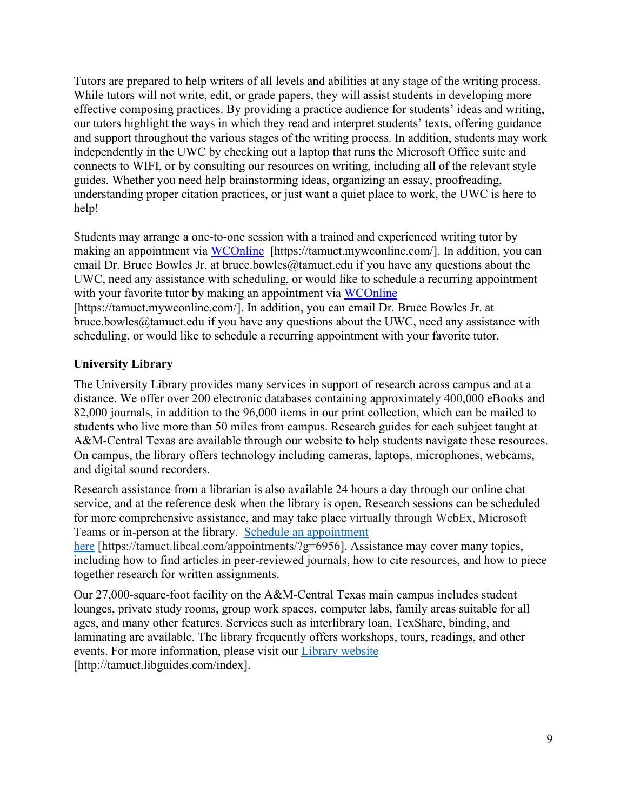Tutors are prepared to help writers of all levels and abilities at any stage of the writing process. While tutors will not write, edit, or grade papers, they will assist students in developing more effective composing practices. By providing a practice audience for students' ideas and writing, our tutors highlight the ways in which they read and interpret students' texts, offering guidance and support throughout the various stages of the writing process. In addition, students may work independently in the UWC by checking out a laptop that runs the Microsoft Office suite and connects to WIFI, or by consulting our resources on writing, including all of the relevant style guides. Whether you need help brainstorming ideas, organizing an essay, proofreading, understanding proper citation practices, or just want a quiet place to work, the UWC is here to help!

Students may arrange a one-to-one session with a trained and experienced writing tutor by making an appointment via [WCOnline](https://tamuct.mywconline.com/) [https://tamuct.mywconline.com/]. In addition, you can email Dr. Bruce Bowles Jr. at bruce.bowles  $@$ tamuct.edu if you have any questions about the UWC, need any assistance with scheduling, or would like to schedule a recurring appointment with your favorite tutor by making an appointment via [WCOnline](https://tamuct.mywconline.com/) [https://tamuct.mywconline.com/]. In addition, you can email Dr. Bruce Bowles Jr. at bruce.bowles@tamuct.edu if you have any questions about the UWC, need any assistance with

scheduling, or would like to schedule a recurring appointment with your favorite tutor.

### **University Library**

The University Library provides many services in support of research across campus and at a distance. We offer over 200 electronic databases containing approximately 400,000 eBooks and 82,000 journals, in addition to the 96,000 items in our print collection, which can be mailed to students who live more than 50 miles from campus. Research guides for each subject taught at A&M-Central Texas are available through our website to help students navigate these resources. On campus, the library offers technology including cameras, laptops, microphones, webcams, and digital sound recorders.

Research assistance from a librarian is also available 24 hours a day through our online chat service, and at the reference desk when the library is open. Research sessions can be scheduled for more comprehensive assistance, and may take place virtually through WebEx, Microsoft Teams or in-person at the library. Schedule an [appointment](https://nam04.safelinks.protection.outlook.com/?url=https%3A%2F%2Ftamuct.libcal.com%2Fappointments%2F%3Fg%3D6956&data=04%7C01%7Clisa.bunkowski%40tamuct.edu%7Cde2c07d9f5804f09518008d9ab7ba6ff%7C9eed4e3000f744849ff193ad8005acec%7C0%7C0%7C637729369835011558%7CUnknown%7CTWFpbGZsb3d8eyJWIjoiMC4wLjAwMDAiLCJQIjoiV2luMzIiLCJBTiI6Ik1haWwiLCJXVCI6Mn0%3D%7C3000&sdata=KhtjgRSAw9aq%2FoBsB6wyu8b7PSuGN5EGPypzr3Ty2No%3D&reserved=0)

[here](https://nam04.safelinks.protection.outlook.com/?url=https%3A%2F%2Ftamuct.libcal.com%2Fappointments%2F%3Fg%3D6956&data=04%7C01%7Clisa.bunkowski%40tamuct.edu%7Cde2c07d9f5804f09518008d9ab7ba6ff%7C9eed4e3000f744849ff193ad8005acec%7C0%7C0%7C637729369835011558%7CUnknown%7CTWFpbGZsb3d8eyJWIjoiMC4wLjAwMDAiLCJQIjoiV2luMzIiLCJBTiI6Ik1haWwiLCJXVCI6Mn0%3D%7C3000&sdata=KhtjgRSAw9aq%2FoBsB6wyu8b7PSuGN5EGPypzr3Ty2No%3D&reserved=0) [https://tamuct.libcal.com/appointments/?g=6956]. Assistance may cover many topics, including how to find articles in peer-reviewed journals, how to cite resources, and how to piece together research for written assignments.

Our 27,000-square-foot facility on the A&M-Central Texas main campus includes student lounges, private study rooms, group work spaces, computer labs, family areas suitable for all ages, and many other features. Services such as interlibrary loan, TexShare, binding, and laminating are available. The library frequently offers workshops, tours, readings, and other events. For more information, please visit our Library [website](https://nam04.safelinks.protection.outlook.com/?url=https%3A%2F%2Ftamuct.libguides.com%2Findex&data=04%7C01%7Clisa.bunkowski%40tamuct.edu%7C7d8489e8839a4915335f08d916f067f2%7C9eed4e3000f744849ff193ad8005acec%7C0%7C0%7C637566044056484222%7CUnknown%7CTWFpbGZsb3d8eyJWIjoiMC4wLjAwMDAiLCJQIjoiV2luMzIiLCJBTiI6Ik1haWwiLCJXVCI6Mn0%3D%7C1000&sdata=2R755V6rcIyedGrd4Os5rkgn1PvhHKU3kUV1vBKiHFo%3D&reserved=0) [http://tamuct.libguides.com/index].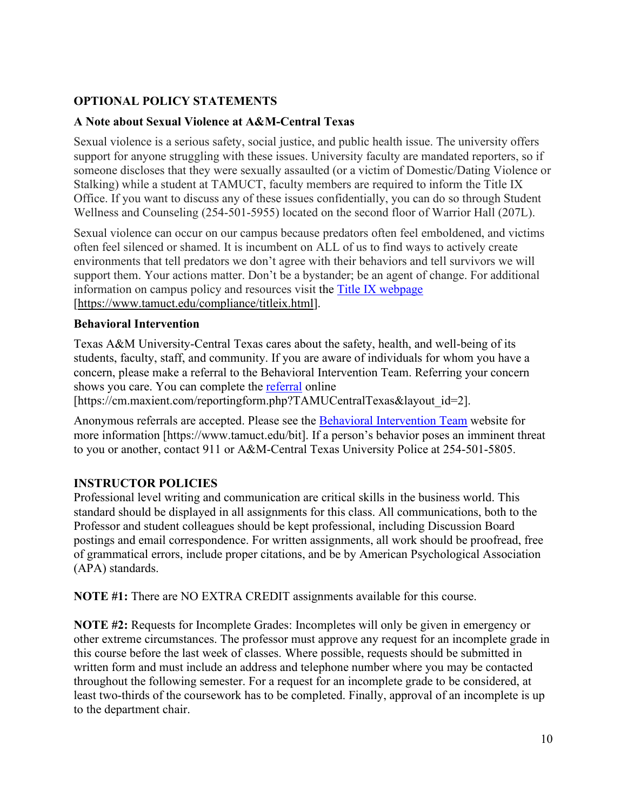# **OPTIONAL POLICY STATEMENTS**

### **A Note about Sexual Violence at A&M-Central Texas**

Sexual violence is a serious safety, social justice, and public health issue. The university offers support for anyone struggling with these issues. University faculty are mandated reporters, so if someone discloses that they were sexually assaulted (or a victim of Domestic/Dating Violence or Stalking) while a student at TAMUCT, faculty members are required to inform the Title IX Office. If you want to discuss any of these issues confidentially, you can do so through Student Wellness and Counseling (254-501-5955) located on the second floor of Warrior Hall (207L).

Sexual violence can occur on our campus because predators often feel emboldened, and victims often feel silenced or shamed. It is incumbent on ALL of us to find ways to actively create environments that tell predators we don't agree with their behaviors and tell survivors we will support them. Your actions matter. Don't be a bystander; be an agent of change. For additional information on campus policy and resources visit the [Title IX webpage](https://www.tamuct.edu/compliance/titleix.html) [\[https://www.tamuct.edu/compliance/titleix.html\]](https://www.tamuct.edu/compliance/titleix.html).

#### **Behavioral Intervention**

Texas A&M University-Central Texas cares about the safety, health, and well-being of its students, faculty, staff, and community. If you are aware of individuals for whom you have a concern, please make a referral to the Behavioral Intervention Team. Referring your concern shows you care. You can complete the [referral](https://cm.maxient.com/reportingform.php?TAMUCentralTexas&layout_id=2) online

[https://cm.maxient.com/reportingform.php?TAMUCentralTexas&layout\_id=2].

Anonymous referrals are accepted. Please see the [Behavioral Intervention Team](https://www.tamuct.edu/bit) website for more information [https://www.tamuct.edu/bit]. If a person's behavior poses an imminent threat to you or another, contact 911 or A&M-Central Texas University Police at 254-501-5805.

### **INSTRUCTOR POLICIES**

Professional level writing and communication are critical skills in the business world. This standard should be displayed in all assignments for this class. All communications, both to the Professor and student colleagues should be kept professional, including Discussion Board postings and email correspondence. For written assignments, all work should be proofread, free of grammatical errors, include proper citations, and be by American Psychological Association (APA) standards.

**NOTE #1:** There are NO EXTRA CREDIT assignments available for this course.

**NOTE #2:** Requests for Incomplete Grades: Incompletes will only be given in emergency or other extreme circumstances. The professor must approve any request for an incomplete grade in this course before the last week of classes. Where possible, requests should be submitted in written form and must include an address and telephone number where you may be contacted throughout the following semester. For a request for an incomplete grade to be considered, at least two-thirds of the coursework has to be completed. Finally, approval of an incomplete is up to the department chair.